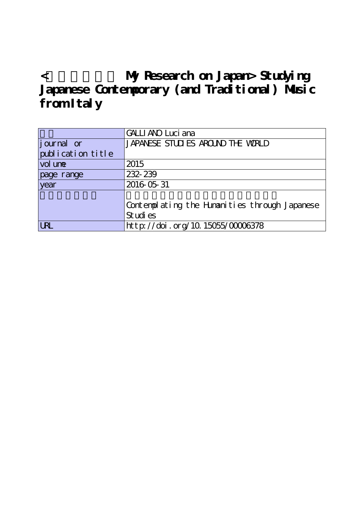**<私の日本研究 My Research on Japan> Studying Japanese Contemporary (and Traditional) Music from Italy**

|                    | <b>GALLI AND Luci ana</b>                                  |
|--------------------|------------------------------------------------------------|
| <i>j</i> ournal or | JAPANESE STUDIES AROUND THE WORLD                          |
| publication title  |                                                            |
| vol une            | 2015                                                       |
| page range         | 232-239                                                    |
| year               | 2016 05 31                                                 |
|                    | Contemplating the Himanities through Japanese<br>St udi es |
| <b>URL</b>         | http://doi.org/10.15055/00006378                           |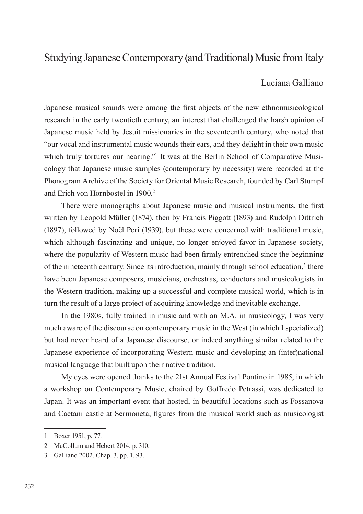## Studying Japanese Contemporary (and Traditional) Music from Italy

## Luciana Galliano

Japanese musical sounds were among the first objects of the new ethnomusicological research in the early twentieth century, an interest that challenged the harsh opinion of Japanese music held by Jesuit missionaries in the seventeenth century, who noted that "our vocal and instrumental music wounds their ears, and they delight in their own music which truly tortures our hearing."<sup>1</sup> It was at the Berlin School of Comparative Musicology that Japanese music samples (contemporary by necessity) were recorded at the Phonogram Archive of the Society for Oriental Music Research, founded by Carl Stumpf and Erich von Hornbostel in 1900<sup>2</sup>

There were monographs about Japanese music and musical instruments, the first written by Leopold Müller (1874), then by Francis Piggott (1893) and Rudolph Dittrich (1897), followed by Noël Peri (1939), but these were concerned with traditional music, which although fascinating and unique, no longer enjoyed favor in Japanese society, where the popularity of Western music had been firmly entrenched since the beginning of the nineteenth century. Since its introduction, mainly through school education,<sup>3</sup> there have been Japanese composers, musicians, orchestras, conductors and musicologists in the Western tradition, making up a successful and complete musical world, which is in turn the result of a large project of acquiring knowledge and inevitable exchange.

In the 1980s, fully trained in music and with an M.A. in musicology, I was very much aware of the discourse on contemporary music in the West (in which I specialized) but had never heard of a Japanese discourse, or indeed anything similar related to the Japanese experience of incorporating Western music and developing an (inter)national musical language that built upon their native tradition.

My eyes were opened thanks to the 21st Annual Festival Pontino in 1985, in which a workshop on Contemporary Music, chaired by Goffredo Petrassi, was dedicated to Japan. It was an important event that hosted, in beautiful locations such as Fossanova and Caetani castle at Sermoneta, figures from the musical world such as musicologist

<sup>1</sup> Boxer 1951, p. 77.

<sup>2</sup> McCollum and Hebert 2014, p. 310.

<sup>3</sup> Galliano 2002, Chap. 3, pp. 1, 93.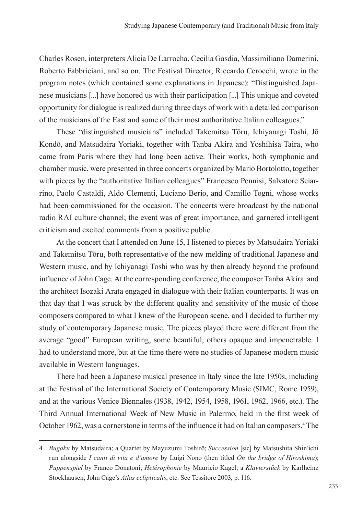Charles Rosen, interpreters Alicia De Larrocha, Cecilia Gasdia, Massimiliano Damerini, Roberto Fabbriciani, and so on. The Festival Director, Riccardo Cerocchi, wrote in the program notes (which contained some explanations in Japanese): "Distinguished Japanese musicians [...] have honored us with their participation [...] This unique and coveted opportunity for dialogue is realized during three days of work with a detailed comparison of the musicians of the East and some of their most authoritative Italian colleagues."

These "distinguished musicians" included Takemitsu Tōru, Ichiyanagi Toshi, Jō Kondō, and Matsudaira Yoriaki, together with Tanba Akira and Yoshihisa Taira, who came from Paris where they had long been active. Their works, both symphonic and chamber music, were presented in three concerts organized by Mario Bortolotto, together with pieces by the "authoritative Italian colleagues" Francesco Pennisi, Salvatore Sciarrino, Paolo Castaldi, Aldo Clementi, Luciano Berio, and Camillo Togni, whose works had been commissioned for the occasion. The concerts were broadcast by the national radio RAI culture channel; the event was of great importance, and garnered intelligent criticism and excited comments from a positive public.

At the concert that I attended on June 15, I listened to pieces by Matsudaira Yoriaki and Takemitsu Tōru, both representative of the new melding of traditional Japanese and Western music, and by Ichiyanagi Toshi who was by then already beyond the profound influence of John Cage. At the corresponding conference, the composer Tanba Akira and the architect Isozaki Arata engaged in dialogue with their Italian counterparts. It was on that day that I was struck by the different quality and sensitivity of the music of those composers compared to what I knew of the European scene, and I decided to further my study of contemporary Japanese music. The pieces played there were different from the average "good" European writing, some beautiful, others opaque and impenetrable. I had to understand more, but at the time there were no studies of Japanese modern music available in Western languages.

There had been a Japanese musical presence in Italy since the late 1950s, including at the Festival of the International Society of Contemporary Music (SIMC, Rome 1959), and at the various Venice Biennales (1938, 1942, 1954, 1958, 1961, 1962, 1966, etc.). The Third Annual International Week of New Music in Palermo, held in the first week of October 1962, was a cornerstone in terms of the influence it had on Italian composers.<sup>4</sup> The

<sup>4</sup> *Bugaku* by Matsudaira; a Quartet by Mayuzumi Toshirō; *Succession* [sic] by Matsushita Shin'ichi run alongside *I canti di vita e d'amore* by Luigi Nono (then titled *On the bridge of Hiroshima*); *Puppenspiel* by Franco Donatoni; *Hetérophonie* by Mauricio Kagel; a *Klavierstück* by Karlheinz Stockhausen; John Cage's *Atlas eclipticalis*, etc. See Tessitore 2003, p. 116.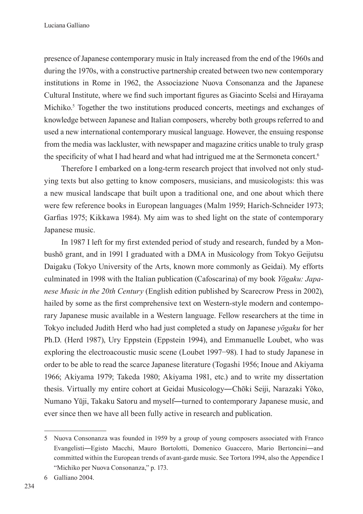presence of Japanese contemporary music in Italy increased from the end of the 1960s and during the 1970s, with a constructive partnership created between two new contemporary institutions in Rome in 1962, the Associazione Nuova Consonanza and the Japanese Cultural Institute, where we find such important figures as Giacinto Scelsi and Hirayama Michiko.<sup>5</sup> Together the two institutions produced concerts, meetings and exchanges of knowledge between Japanese and Italian composers, whereby both groups referred to and used a new international contemporary musical language. However, the ensuing response from the media was lackluster, with newspaper and magazine critics unable to truly grasp the specificity of what I had heard and what had intrigued me at the Sermoneta concert.<sup>6</sup>

Therefore I embarked on a long-term research project that involved not only studying texts but also getting to know composers, musicians, and musicologists: this was a new musical landscape that built upon a traditional one, and one about which there were few reference books in European languages (Malm 1959; Harich-Schneider 1973; Garfias 1975; Kikkawa 1984). My aim was to shed light on the state of contemporary Japanese music.

In 1987 I left for my first extended period of study and research, funded by a Monbushō grant, and in 1991 I graduated with a DMA in Musicology from Tokyo Geijutsu Daigaku (Tokyo University of the Arts, known more commonly as Geidai). My efforts culminated in 1998 with the Italian publication (Cafoscarina) of my book *Yōgaku: Japanese Music in the 20th Century* (English edition published by Scarecrow Press in 2002), hailed by some as the first comprehensive text on Western-style modern and contemporary Japanese music available in a Western language. Fellow researchers at the time in Tokyo included Judith Herd who had just completed a study on Japanese *yōgaku* for her Ph.D. (Herd 1987), Ury Eppstein (Eppstein 1994), and Emmanuelle Loubet, who was exploring the electroacoustic music scene (Loubet 1997−98). I had to study Japanese in order to be able to read the scarce Japanese literature (Togashi 1956; Inoue and Akiyama 1966; Akiyama 1979; Takeda 1980; Akiyama 1981, etc.) and to write my dissertation thesis. Virtually my entire cohort at Geidai Musicology―Chōki Seiji, Narazaki Yōko, Numano Yūji, Takaku Satoru and myself―turned to contemporary Japanese music, and ever since then we have all been fully active in research and publication.

<sup>5</sup> Nuova Consonanza was founded in 1959 by a group of young composers associated with Franco Evangelisti―Egisto Macchi, Mauro Bortolotti, Domenico Guaccero, Mario Bertoncini―and committed within the European trends of avant-garde music. See Tortora 1994, also the Appendice I "Michiko per Nuova Consonanza," p. 173.

<sup>6</sup> Galliano 2004.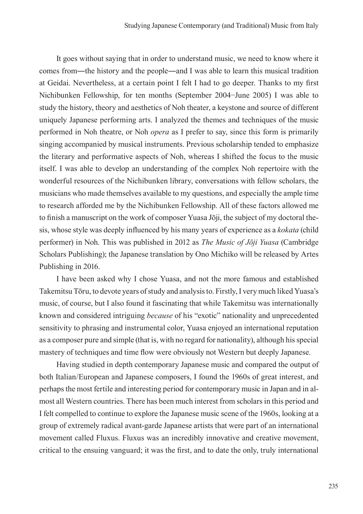It goes without saying that in order to understand music, we need to know where it comes from―the history and the people―and I was able to learn this musical tradition at Geidai. Nevertheless, at a certain point I felt I had to go deeper. Thanks to my first Nichibunken Fellowship, for ten months (September 2004−June 2005) I was able to study the history, theory and aesthetics of Noh theater, a keystone and source of different uniquely Japanese performing arts. I analyzed the themes and techniques of the music performed in Noh theatre, or Noh *opera* as I prefer to say, since this form is primarily singing accompanied by musical instruments. Previous scholarship tended to emphasize the literary and performative aspects of Noh, whereas I shifted the focus to the music itself. I was able to develop an understanding of the complex Noh repertoire with the wonderful resources of the Nichibunken library, conversations with fellow scholars, the musicians who made themselves available to my questions, and especially the ample time to research afforded me by the Nichibunken Fellowship. All of these factors allowed me to finish a manuscript on the work of composer Yuasa Jōji, the subject of my doctoral thesis, whose style was deeply influenced by his many years of experience as a *kokata* (child performer) in Noh. This was published in 2012 as *The Music of Jōji Yuasa* (Cambridge Scholars Publishing); the Japanese translation by Ono Michiko will be released by Artes Publishing in 2016.

I have been asked why I chose Yuasa, and not the more famous and established Takemitsu Tōru, to devote years of study and analysis to. Firstly, I very much liked Yuasa's music, of course, but I also found it fascinating that while Takemitsu was internationally known and considered intriguing *because* of his "exotic" nationality and unprecedented sensitivity to phrasing and instrumental color, Yuasa enjoyed an international reputation as a composer pure and simple (that is, with no regard for nationality), although his special mastery of techniques and time flow were obviously not Western but deeply Japanese.

Having studied in depth contemporary Japanese music and compared the output of both Italian/European and Japanese composers, I found the 1960s of great interest, and perhaps the most fertile and interesting period for contemporary music in Japan and in almost all Western countries. There has been much interest from scholars in this period and I felt compelled to continue to explore the Japanese music scene of the 1960s, looking at a group of extremely radical avant-garde Japanese artists that were part of an international movement called Fluxus. Fluxus was an incredibly innovative and creative movement, critical to the ensuing vanguard; it was the first, and to date the only, truly international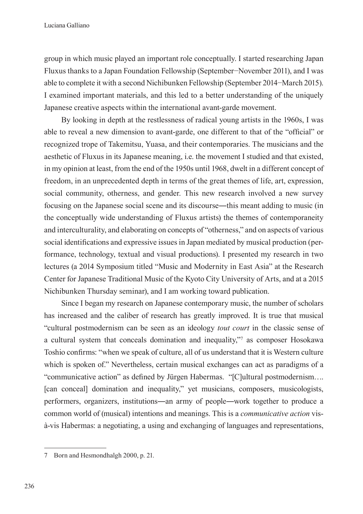group in which music played an important role conceptually. I started researching Japan Fluxus thanks to a Japan Foundation Fellowship (September−November 2011), and I was able to complete it with a second Nichibunken Fellowship (September 2014−March 2015). I examined important materials, and this led to a better understanding of the uniquely Japanese creative aspects within the international avant-garde movement.

By looking in depth at the restlessness of radical young artists in the 1960s, I was able to reveal a new dimension to avant-garde, one different to that of the "official" or recognized trope of Takemitsu, Yuasa, and their contemporaries. The musicians and the aesthetic of Fluxus in its Japanese meaning, i.e. the movement I studied and that existed, in my opinion at least, from the end of the 1950s until 1968, dwelt in a different concept of freedom, in an unprecedented depth in terms of the great themes of life, art, expression, social community, otherness, and gender. This new research involved a new survey focusing on the Japanese social scene and its discourse―this meant adding to music (in the conceptually wide understanding of Fluxus artists) the themes of contemporaneity and interculturality, and elaborating on concepts of "otherness," and on aspects of various social identifications and expressive issues in Japan mediated by musical production (performance, technology, textual and visual productions). I presented my research in two lectures (a 2014 Symposium titled "Music and Modernity in East Asia" at the Research Center for Japanese Traditional Music of the Kyoto City University of Arts, and at a 2015 Nichibunken Thursday seminar), and I am working toward publication.

Since I began my research on Japanese contemporary music, the number of scholars has increased and the caliber of research has greatly improved. It is true that musical "cultural postmodernism can be seen as an ideology *tout court* in the classic sense of a cultural system that conceals domination and inequality,"7 as composer Hosokawa Toshio confirms: "when we speak of culture, all of us understand that it is Western culture which is spoken of." Nevertheless, certain musical exchanges can act as paradigms of a "communicative action" as defined by Jürgen Habermas. "[C]ultural postmodernism…. [can conceal] domination and inequality," yet musicians, composers, musicologists, performers, organizers, institutions―an army of people―work together to produce a common world of (musical) intentions and meanings. This is a *communicative action* visà-vis Habermas: a negotiating, a using and exchanging of languages and representations,

<sup>7</sup> Born and Hesmondhalgh 2000, p. 21.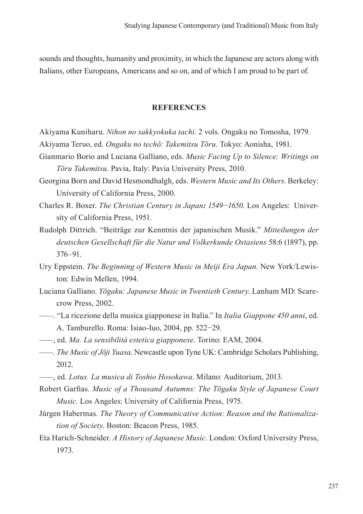sounds and thoughts, humanity and proximity, in which the Japanese are actors along with Italians, other Europeans, Americans and so on, and of which I am proud to be part of.

## **REFERENCES**

- Akiyama Kuniharu. *Nihon no sakkyokuka tachi*. 2 vols. Ongaku no Tomosha, 1979. Akiyama Teruo, ed. *Ongaku no techō: Takemitsu Tōru*. Tokyo: Aonisha, 1981.
- Gianmario Borio and Luciana Galliano, eds. *Music Facing Up to Silence: Writings on Tōru Takemitsu*. Pavia, Italy: Pavia University Press, 2010.
- Georgina Born and David Hesmondhalgh, eds. *Western Music and Its Others*. Berkeley: University of California Press, 2000.
- Charles R. Boxer. *The Christian Century in Japan: 1549−1650*. Los Angeles: University of California Press, 1951.
- Rudolph Dittrich. "Beiträge zur Kenntnis der japanischen Musik." *Mitteilungen der deutschen Gesellschaft für die Natur und Volkerkunde Ostasiens* 58:6 (1897), pp. 376–91.
- Ury Eppstein. *The Beginning of Western Music in Meiji Era Japan*. New York/Lewiston: Edwin Mellen, 1994.
- Luciana Galliano. *Yōgaku: Japanese Music in Twentieth Century*. Lanham MD: Scarecrow Press, 2002.
- *——*. "La ricezione della musica giapponese in Italia." In *Italia Giappone 450 anni*, ed. A. Tamburello. Roma: Isiao-Iuo, 2004, pp. 522*−*29.
- *——*, ed. *Ma. La sensibilità estetica giapponese*. Torino: EAM, 2004.
- *——. The Music of Jōji Yuasa*. Newcastle upon Tyne UK: Cambridge Scholars Publishing, 2012.
- *——*, ed. *Lotus. La musica di Toshio Hosokawa*. Milano: Auditorium, 2013.
- Robert Garfias. *Music of a Thousand Autumns: The Tōgaku Style of Japanese Court Music*. Los Angeles: University of California Press, 1975.
- Jürgen Habermas. *The Theory of Communicative Action: Reason and the Rationalization of Society*. Boston: Beacon Press, 1985.
- Eta Harich-Schneider. *A History of Japanese Music*. London: Oxford University Press, 1973.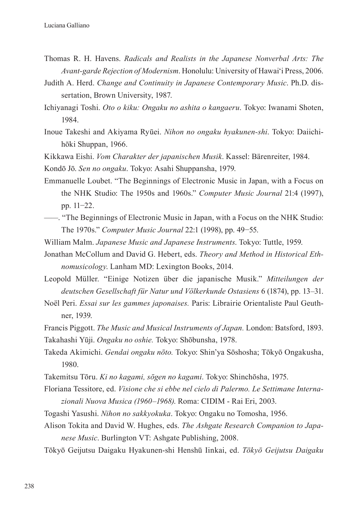- Thomas R. H. Havens. *Radicals and Realists in the Japanese Nonverbal Arts: The Avant-garde Rejection of Modernism*. Honolulu: University of Hawai'i Press, 2006.
- Judith A. Herd. *Change and Continuity in Japanese Contemporary Music*. Ph.D. dissertation, Brown University, 1987.
- Ichiyanagi Toshi. *Oto o kiku: Ongaku no ashita o kangaeru*. Tokyo: Iwanami Shoten, 1984.
- Inoue Takeshi and Akiyama Ryūei. *Nihon no ongaku hyakunen-shi*. Tokyo: Daiichihōki Shuppan, 1966.
- Kikkawa Eishi. *Vom Charakter der japanischen Musik*. Kassel: Bärenreiter, 1984.
- Kondō Jō. *Sen no ongaku*. Tokyo: Asahi Shuppansha, 1979.
- Emmanuelle Loubet. "The Beginnings of Electronic Music in Japan, with a Focus on the NHK Studio: The 1950s and 1960s." *Computer Music Journal* 21:4 (1997), pp. 11−22.
- *——*. "The Beginnings of Electronic Music in Japan, with a Focus on the NHK Studio: The 1970s." *Computer Music Journal* 22:1 (1998), pp. 49−55.
- William Malm. *Japanese Music and Japanese Instruments*. Tokyo: Tuttle, 1959.
- Jonathan McCollum and David G. Hebert, eds. *Theory and Method in Historical Ethnomusicology*. Lanham MD: Lexington Books, 2014.
- Leopold Müller. "Einige Notizen über die japanische Musik." *Mitteilungen der deutschen Gesellschaft für Natur und Völkerkunde Ostasiens* 6 (1874), pp. 13–31.
- Noël Peri. *Essai sur les gammes japonaises.* Paris: Librairie Orientaliste Paul Geuthner, 1939.
- Francis Piggott. *The Music and Musical Instruments of Japan.* London: Batsford, 1893.
- Takahashi Yūji. *Ongaku no oshie.* Tokyo: Shōbunsha, 1978.
- Takeda Akimichi. *Gendai ongaku nōto.* Tokyo: Shin'ya Sōshosha; Tōkyō Ongakusha, 1980.
- Takemitsu Tōru. *Ki no kagami, sōgen no kagami*. Tokyo: Shinchōsha, 1975.
- Floriana Tessitore, ed. *Visione che si ebbe nel cielo di Palermo. Le Settimane Internazionali Nuova Musica (1960*–*1968)*. Roma: CIDIM - Rai Eri, 2003.
- Togashi Yasushi. *Nihon no sakkyokuka*. Tokyo: Ongaku no Tomosha, 1956.
- Alison Tokita and David W. Hughes, eds. *The Ashgate Research Companion to Japanese Music*. Burlington VT: Ashgate Publishing, 2008.
- Tōkyō Geijutsu Daigaku Hyakunen-shi Henshū Iinkai, ed. *Tōkyō Geijutsu Daigaku*